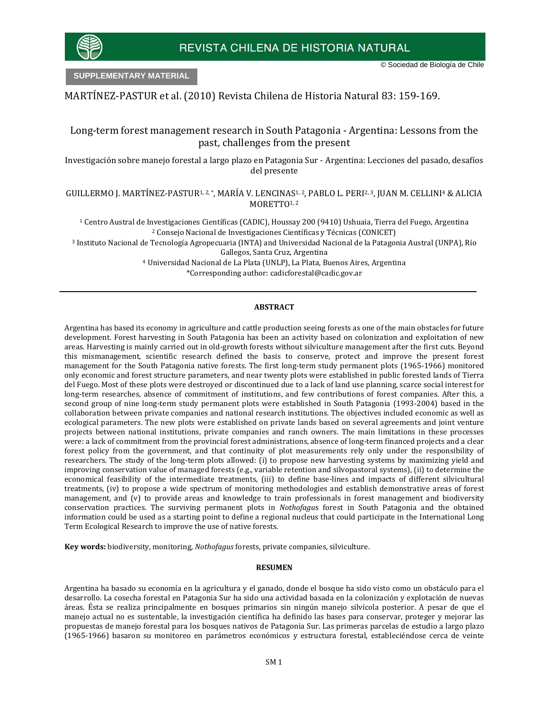**SUPPLEMENTARY MATERIAL** 

# MARTÍNEZ-PASTUR et al. (2010) Revista Chilena de Historia Natural 83: 159-169.

# Long-term forest management research in South Patagonia - Argentina: Lessons from the past, challenges from the present

Investigación sobre manejo forestal a largo plazo en Patagonia Sur - Argentina: Lecciones del pasado, desafíos del presente

GUILLERMO J. MARTÍNEZ-PASTUR1, 2, \*, MARÍA V. LENCINAS1, 2, PABLO L. PERI2, 3, JUAN M. CELLINI4 & ALICIA MORETTO<sup>1,2</sup>

<sup>1</sup> Centro Austral de Investigaciones Científicas (CADIC), Houssay 200 (9410) Ushuaia, Tierra del Fuego, Argentina <sup>2</sup> Consejo Nacional de Investigaciones Científicas y Técnicas (CONICET)

<sup>3</sup> Instituto Nacional de Tecnología Agropecuaria (INTA) and Universidad Nacional de la Patagonia Austral (UNPA), Río

Gallegos, Santa Cruz, Argentina

<sup>4</sup> Universidad Nacional de La Plata (UNLP), La Plata, Buenos Aires, Argentina

\*Corresponding author: cadicforestal@cadic.gov.ar

# **ABSTRACT**

Argentina has based its economy in agriculture and cattle production seeing forests as one of the main obstacles for future development. Forest harvesting in South Patagonia has been an activity based on colonization and exploitation of new areas. Harvesting is mainly carried out in old-growth forests without silviculture management after the first cuts. Beyond this mismanagement, scientific research defined the basis to conserve, protect and improve the present forest management for the South Patagonia native forests. The first long-term study permanent plots (1965-1966) monitored only economic and forest structure parameters, and near twenty plots were established in public forested lands of Tierra del Fuego. Most of these plots were destroyed or discontinued due to a lack of land use planning, scarce social interest for long-term researches, absence of commitment of institutions, and few contributions of forest companies. After this, a second group of nine long-term study permanent plots were established in South Patagonia (1993-2004) based in the collaboration between private companies and national research institutions. The objectives included economic as well as ecological parameters. The new plots were established on private lands based on several agreements and joint venture projects between national institutions, private companies and ranch owners. The main limitations in these processes were: a lack of commitment from the provincial forest administrations, absence of long-term financed projects and a clear forest policy from the government, and that continuity of plot measurements rely only under the responsibility of researchers. The study of the long-term plots allowed: (i) to propose new harvesting systems by maximizing yield and improving conservation value of managed forests (e.g., variable retention and silvopastoral systems), (ii) to determine the economical feasibility of the intermediate treatments, (iii) to define base-lines and impacts of different silvicultural treatments, (iv) to propose a wide spectrum of monitoring methodologies and establish demonstrative areas of forest management, and (v) to provide areas and knowledge to train professionals in forest management and biodiversity conservation practices. The surviving permanent plots in *Nothofagu*s forest in South Patagonia and the obtained information could be used as a starting point to define a regional nucleus that could participate in the International Long Term Ecological Research to improve the use of native forests.

**Key words:** biodiversity, monitoring, *Nothofagus* forests, private companies, silviculture.

# **RESUMEN**

Argentina ha basado su economía en la agricultura y el ganado, donde el bosque ha sido visto como un obstáculo para el desarrollo. La cosecha forestal en Patagonia Sur ha sido una actividad basada en la colonización y explotación de nuevas áreas. Ésta se realiza principalmente en bosques primarios sin ningún manejo silvícola posterior. A pesar de que el manejo actual no es sustentable, la investigación científica ha definido las bases para conservar, proteger y mejorar las propuestas de manejo forestal para los bosques nativos de Patagonia Sur. Las primeras parcelas de estudio a largo plazo (1965-1966) basaron su monitoreo en parámetros económicos y estructura forestal, estableciéndose cerca de veinte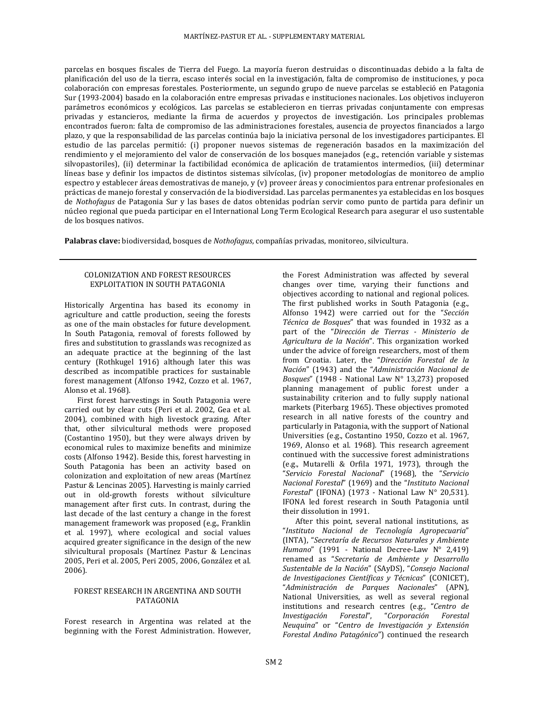parcelas en bosques fiscales de Tierra del Fuego. La mayoría fueron destruidas o discontinuadas debido a la falta de planificación del uso de la tierra, escaso interés social en la investigación, falta de compromiso de instituciones, y poca colaboración con empresas forestales. Posteriormente, un segundo grupo de nueve parcelas se estableció en Patagonia Sur (1993-2004) basado en la colaboración entre empresas privadas e instituciones nacionales. Los objetivos incluyeron parámetros económicos y ecológicos. Las parcelas se establecieron en tierras privadas conjuntamente con empresas privadas y estancieros, mediante la firma de acuerdos y proyectos de investigación. Los principales problemas encontrados fueron: falta de compromiso de las administraciones forestales, ausencia de proyectos financiados a largo plazo, y que la responsabilidad de las parcelas continúa bajo la iniciativa personal de los investigadores participantes. El estudio de las parcelas permitió: (i) proponer nuevos sistemas de regeneración basados en la maximización del rendimiento y el mejoramiento del valor de conservación de los bosques manejados (e.g., retención variable y sistemas silvopastoriles), (ii) determinar la factibilidad económica de aplicación de tratamientos intermedios, (iii) determinar líneas base y definir los impactos de distintos sistemas silvícolas, (iv) proponer metodologías de monitoreo de amplio espectro y establecer áreas demostrativas de manejo, y (v) proveer áreas y conocimientos para entrenar profesionales en prácticas de manejo forestal y conservación de la biodiversidad. Las parcelas permanentes ya establecidas en los bosques de *Nothofagus* de Patagonia Sur y las bases de datos obtenidas podrían servir como punto de partida para definir un núcleo regional que pueda participar en el International Long Term Ecological Research para asegurar el uso sustentable de los bosques nativos.

**Palabras clave:** biodiversidad, bosques de *Nothofagus*, compañías privadas, monitoreo, silvicultura.

# COLONIZATION AND FOREST RESOURCES EXPLOITATION IN SOUTH PATAGONIA

Historically Argentina has based its economy in agriculture and cattle production, seeing the forests as one of the main obstacles for future development. In South Patagonia, removal of forests followed by fires and substitution to grasslands was recognized as an adequate practice at the beginning of the last century (Rothkugel 1916) although later this was described as incompatible practices for sustainable forest management (Alfonso 1942, Cozzo et al. 1967, Alonso et al. 1968).

First forest harvestings in South Patagonia were carried out by clear cuts (Peri et al. 2002, Gea et al. 2004), combined with high livestock grazing. After that, other silvicultural methods were proposed (Costantino 1950), but they were always driven by economical rules to maximize benefits and minimize costs (Alfonso 1942). Beside this, forest harvesting in South Patagonia has been an activity based on colonization and exploitation of new areas (Martínez Pastur & Lencinas 2005). Harvesting is mainly carried out in old-growth forests without silviculture management after first cuts. In contrast, during the last decade of the last century a change in the forest management framework was proposed (e.g., Franklin et al. 1997), where ecological and social values acquired greater significance in the design of the new silvicultural proposals (Martínez Pastur & Lencinas 2005, Peri et al. 2005, Peri 2005, 2006, González et al. 2006).

## FOREST RESEARCH IN ARGENTINA AND SOUTH PATAGONIA

Forest research in Argentina was related at the beginning with the Forest Administration. However, the Forest Administration was affected by several changes over time, varying their functions and objectives according to national and regional polices. The first published works in South Patagonia (e.g., Alfonso 1942) were carried out for the "*Sección Técnica de Bosques*" that was founded in 1932 as a part of the "*Dirección de Tierras - Ministerio de Agricultura de la Nación*". This organization worked under the advice of foreign researchers, most of them from Croatia. Later, the "*Dirección Forestal de la Nación*" (1943) and the "*Administración Nacional de Bosques*" (1948 - National Law N° 13,273) proposed planning management of public forest under a sustainability criterion and to fully supply national markets (Piterbarg 1965). These objectives promoted research in all native forests of the country and particularly in Patagonia, with the support of National Universities (e.g., Costantino 1950, Cozzo et al. 1967, 1969, Alonso et al. 1968). This research agreement continued with the successive forest administrations (e.g., Mutarelli & Orfila 1971, 1973), through the "*Servicio Forestal Nacional*" (1968), the "*Servicio Nacional Forestal*" (1969) and the "*Instituto Nacional Forestal*" (IFONA) (1973 - National Law N° 20,531). IFONA led forest research in South Patagonia until their dissolution in 1991.

After this point, several national institutions, as "*Instituto Nacional de Tecnología Agropecuaria*" (INTA), "*Secretaría de Recursos Naturales y Ambiente Humano*" (1991 - National Decree-Law N° 2,419) renamed as "*Secretaría de Ambiente y Desarrollo Sustentable de la Nación*" (SAyDS), "*Consejo Nacional de Investigaciones Científicas y Técnicas*" (CONICET), "*Administración de Parques Nacionales*" (APN), National Universities, as well as several regional institutions and research centres (e.g., "*Centro de Investigación Forestal*", "*Corporación Forestal Neuquina*" or "*Centro de Investigación y Extensión Forestal Andino Patagónico*") continued the research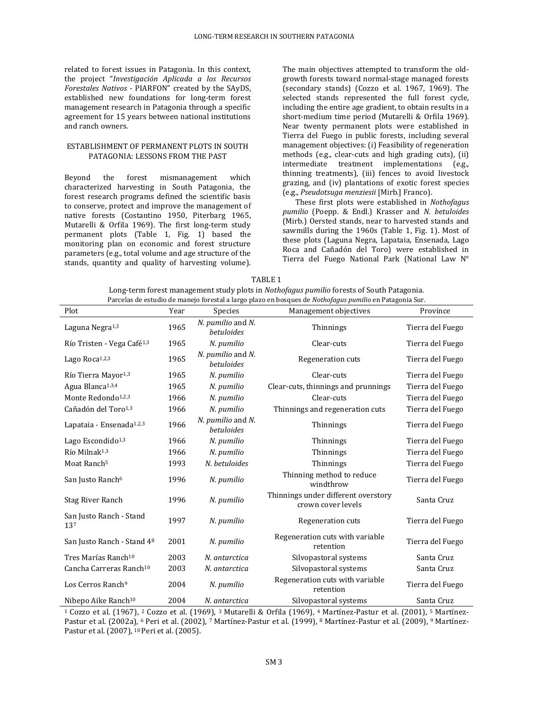related to forest issues in Patagonia. In this context, the project "*Investigación Aplicada a los Recursos Forestales Nativos* - PIARFON" created by the SAyDS, established new foundations for long-term forest management research in Patagonia through a specific agreement for 15 years between national institutions and ranch owners.

## ESTABLISHMENT OF PERMANENT PLOTS IN SOUTH PATAGONIA: LESSONS FROM THE PAST

Beyond the forest mismanagement which characterized harvesting in South Patagonia, the forest research programs defined the scientific basis to conserve, protect and improve the management of native forests (Costantino 1950, Piterbarg 1965, Mutarelli & Orfila 1969). The first long-term study permanent plots (Table 1, Fig. 1) based the monitoring plan on economic and forest structure parameters (e.g., total volume and age structure of the stands, quantity and quality of harvesting volume). The main objectives attempted to transform the oldgrowth forests toward normal-stage managed forests (secondary stands) (Cozzo et al. 1967, 1969). The selected stands represented the full forest cycle, including the entire age gradient, to obtain results in a short-medium time period (Mutarelli & Orfila 1969). Near twenty permanent plots were established in Tierra del Fuego in public forests, including several management objectives: (i) Feasibility of regeneration methods (e.g., clear-cuts and high grading cuts), (ii) intermediate treatment implementations (e.g., thinning treatments), (iii) fences to avoid livestock grazing, and (iv) plantations of exotic forest species (e.g., *Pseudotsuga menziesii* [Mirb.] Franco).

These first plots were established in *Nothofagus pumilio* (Poepp. & Endl.) Krasser and *N. betuloides* (Mirb.) Oersted stands, near to harvested stands and sawmills during the 1960s (Table 1, Fig. 1). Most of these plots (Laguna Negra, Lapataia, Ensenada, Lago Roca and Cañadón del Toro) were established in Tierra del Fuego National Park (National Law N°

| TABLE 1                                                                                                        |
|----------------------------------------------------------------------------------------------------------------|
| Long-term forest management study plots in <i>Nothofagus pumilio</i> forests of South Patagonia.               |
| Parcelas de estudio de manejo forestal a largo plazo en bosques de <i>Nothofagus pumilio</i> en Patagonia Sur. |

| Plot                                   | Year | <b>Species</b>                                       | r arccias de estudio de manejo foi estara na go piazo en bosques de riodiojagas parmito en ratagoma sur.<br>Management objectives | Province         |  |  |
|----------------------------------------|------|------------------------------------------------------|-----------------------------------------------------------------------------------------------------------------------------------|------------------|--|--|
| Laguna Negra <sup>1,3</sup>            | 1965 | N. pumilio and N.<br>betuloides                      | Thinnings                                                                                                                         | Tierra del Fuego |  |  |
| Río Tristen - Vega Café <sup>1,3</sup> | 1965 | N. pumilio                                           | Clear-cuts                                                                                                                        | Tierra del Fuego |  |  |
| Lago Roca <sup>1,2,3</sup>             | 1965 | N. pumilio and N.<br>Regeneration cuts<br>betuloides |                                                                                                                                   | Tierra del Fuego |  |  |
| Río Tierra Mayor <sup>1,3</sup>        | 1965 | N. pumilio                                           | Clear-cuts                                                                                                                        | Tierra del Fuego |  |  |
| Agua Blanca <sup>1,3,4</sup>           | 1965 | N. pumilio                                           | Clear-cuts, thinnings and prunnings                                                                                               | Tierra del Fuego |  |  |
| Monte Redondo <sup>1,2,3</sup>         | 1966 | N. pumilio                                           | Clear-cuts                                                                                                                        | Tierra del Fuego |  |  |
| Cañadón del Toro <sup>1,3</sup>        | 1966 | N. pumilio                                           | Thinnings and regeneration cuts                                                                                                   | Tierra del Fuego |  |  |
| Lapataia - Ensenada <sup>1,2,3</sup>   | 1966 | N. pumilio and N.<br>betuloides                      | Thinnings                                                                                                                         | Tierra del Fuego |  |  |
| Lago Escondido <sup>1,3</sup>          | 1966 | N. pumilio                                           | Thinnings                                                                                                                         | Tierra del Fuego |  |  |
| $R$ ío Milna $k^{1,3}$                 | 1966 | N. pumilio                                           | Thinnings                                                                                                                         | Tierra del Fuego |  |  |
| Moat Ranch <sup>5</sup>                | 1993 | N. betuloides                                        | Thinnings                                                                                                                         | Tierra del Fuego |  |  |
| San Justo Ranch <sup>6</sup>           | 1996 | N. pumilio                                           | Thinning method to reduce<br>windthrow                                                                                            | Tierra del Fuego |  |  |
| Stag River Ranch                       | 1996 | N. pumilio                                           | Thinnings under different overstory<br>crown cover levels                                                                         | Santa Cruz       |  |  |
| San Justo Ranch - Stand<br>137         | 1997 | N. pumilio                                           | Regeneration cuts                                                                                                                 | Tierra del Fuego |  |  |
| San Justo Ranch - Stand 48             | 2001 | N. pumilio                                           | Regeneration cuts with variable<br>retention                                                                                      | Tierra del Fuego |  |  |
| Tres Marías Ranch <sup>10</sup>        | 2003 | N. antarctica                                        | Silvopastoral systems                                                                                                             | Santa Cruz       |  |  |
| Cancha Carreras Ranch <sup>10</sup>    | 2003 | N. antarctica                                        | Silvopastoral systems                                                                                                             | Santa Cruz       |  |  |
| Los Cerros Ranch <sup>9</sup>          | 2004 | N. pumilio                                           | Regeneration cuts with variable<br>retention                                                                                      | Tierra del Fuego |  |  |
| Nibepo Aike Ranch <sup>10</sup>        | 2004 | N. antarctica                                        | Silvopastoral systems                                                                                                             | Santa Cruz       |  |  |

1 Cozzo et al. (1967), 2 Cozzo et al. (1969), 3 Mutarelli & Orfila (1969), 4 Martínez-Pastur et al. (2001), 5 Martínez-Pastur et al. (2002a), 6 Peri et al. (2002), 7 Martínez-Pastur et al. (1999), 8 Martínez-Pastur et al. (2009), 9 Martínez-Pastur et al. (2007), 10 Peri et al. (2005).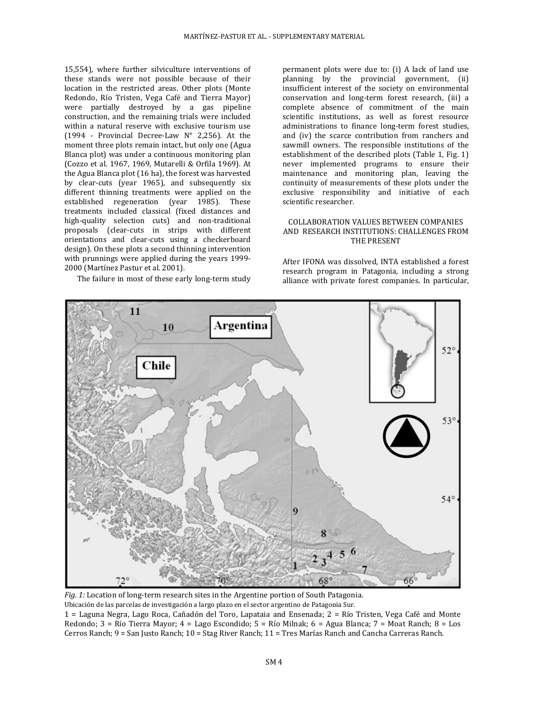15,554), where further silviculture interventions of these stands were not possible because of their location in the restricted areas. Other plots (Monte Redondo, Río Tristen, Vega Café and Tierra Mayor) were partially destroyed by a gas pipeline construction, and the remaining trials were included within a natural reserve with exclusive tourism use (1994 - Provincial Decree-Law N° 2,256). At the moment three plots remain intact, but only one (Agua Blanca plot) was under a continuous monitoring plan (Cozzo et al. 1967, 1969, Mutarelli & Orfila 1969). At the Agua Blanca plot (16 ha), the forest was harvested by clear-cuts (year 1965), and subsequently six different thinning treatments were applied on the established regeneration (year 1985). These treatments included classical (fixed distances and high-quality selection cuts) and non-traditional proposals (clear-cuts in strips with different orientations and clear-cuts using a checkerboard design). On these plots a second thinning intervention with prunnings were applied during the years 1999- 2000 (Martínez Pastur et al. 2001).

The failure in most of these early long-term study

permanent plots were due to: (i) A lack of land use planning by the provincial government, (ii) insufficient interest of the society on environmental conservation and long-term forest research, (iii) a complete absence of commitment of the main scientific institutions, as well as forest resource administrations to finance long-term forest studies, and (iv) the scarce contribution from ranchers and sawmill owners. The responsible institutions of the establishment of the described plots (Table 1, Fig. 1) never implemented programs to ensure their maintenance and monitoring plan, leaving the continuity of measurements of these plots under the exclusive responsibility and initiative of each scientific researcher.

## COLLABORATION VALUES BETWEEN COMPANIES AND RESEARCH INSTITUTIONS: CHALLENGES FROM THE PRESENT

After IFONA was dissolved, INTA established a forest research program in Patagonia, including a strong alliance with private forest companies. In particular,



*Fig. 1:* Location of long-term research sites in the Argentine portion of South Patagonia.

Ubicación de las parcelas de investigación a largo plazo en el sector argentino de Patagonia Sur.

1 = Laguna Negra, Lago Roca, Cañadón del Toro, Lapataia and Ensenada; 2 = Río Tristen, Vega Café and Monte Redondo; 3 = Río Tierra Mayor; 4 = Lago Escondido; 5 = Río Milnak; 6 = Agua Blanca; 7 = Moat Ranch; 8 = Los Cerros Ranch; 9 = San Justo Ranch; 10 = Stag River Ranch; 11 = Tres Marías Ranch and Cancha Carreras Ranch.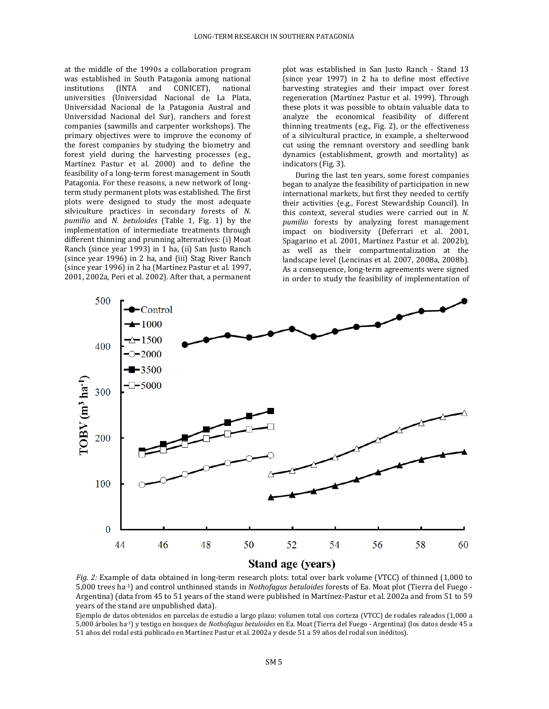at the middle of the 1990s a collaboration program was established in South Patagonia among national<br>institutions (INTA and CONICET), national CONICET), universities (Universidad Nacional de La Plata, Universidad Nacional de la Patagonia Austral and Universidad Nacional del Sur), ranchers and forest companies (sawmills and carpenter workshops). The primary objectives were to improve the economy of the forest companies by studying the biometry and forest yield during the harvesting processes (e.g., Martínez Pastur et al. 2000) and to define the feasibility of a long-term forest management in South Patagonia. For these reasons, a new network of longterm study permanent plots was established. The first plots were designed to study the most adequate silviculture practices in secondary forests of *N. pumilio* and *N. betuloides* (Table 1, Fig. 1) by the implementation of intermediate treatments through different thinning and prunning alternatives: (i) Moat Ranch (since year 1993) in 1 ha, (ii) San Justo Ranch (since year 1996) in 2 ha, and (iii) Stag River Ranch (since year 1996) in 2 ha (Martínez Pastur et al. 1997, 2001, 2002a, Peri et al. 2002). After that, a permanent

plot was established in San Justo Ranch - Stand 13 (since year 1997) in 2 ha to define most effective harvesting strategies and their impact over forest regeneration (Martínez Pastur et al. 1999). Through these plots it was possible to obtain valuable data to analyze the economical feasibility of different thinning treatments (e.g., Fig. 2), or the effectiveness of a silvicultural practice, in example, a shelterwood cut using the remnant overstory and seedling bank dynamics (establishment, growth and mortality) as indicators (Fig. 3).

During the last ten years, some forest companies began to analyze the feasibility of participation in new international markets, but first they needed to certify their activities (e.g., Forest Stewardship Council). In this context, several studies were carried out in *N. pumilio* forests by analyzing forest management impact on biodiversity (Deferrari et al. 2001, Spagarino et al. 2001, Martínez Pastur et al. 2002b), as well as their compartmentalization at the landscape level (Lencinas et al. 2007, 2008a, 2008b). As a consequence, long-term agreements were signed in order to study the feasibility of implementation of



*Fig. 2:* Example of data obtained in long-term research plots: total over bark volume (VTCC) of thinned (1,000 to 5,000 trees ha-1) and control unthinned stands in *Nothofagus betuloides* forests of Ea. Moat plot (Tierra del Fuego - Argentina) (data from 45 to 51 years of the stand were published in Martínez-Pastur et al. 2002a and from 51 to 59 years of the stand are unpublished data).

Ejemplo de datos obtenidos en parcelas de estudio a largo plazo: volumen total con corteza (VTCC) de rodales raleados (1,000 a 5,000 árboles ha-1) y testigo en bosques de *Nothofagus betuloides* en Ea. Moat (Tierra del Fuego - Argentina) (los datos desde 45 a 51 años del rodal está publicado en Martínez Pastur et al. 2002a y desde 51 a 59 años del rodal son inéditos).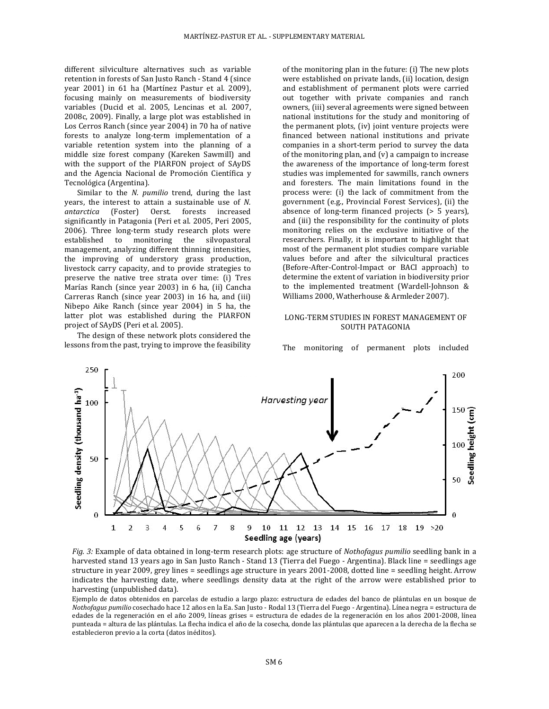different silviculture alternatives such as variable retention in forests of San Justo Ranch - Stand 4 (since year 2001) in 61 ha (Martínez Pastur et al. 2009), focusing mainly on measurements of biodiversity variables (Ducid et al. 2005, Lencinas et al. 2007, 2008c, 2009). Finally, a large plot was established in Los Cerros Ranch (since year 2004) in 70 ha of native forests to analyze long-term implementation of a variable retention system into the planning of a middle size forest company (Kareken Sawmill) and with the support of the PIARFON project of SAyDS and the Agencia Nacional de Promoción Científica y Tecnológica (Argentina).

Similar to the *N. pumilio* trend, during the last years, the interest to attain a sustainable use of *N. antarctica* (Foster) Oerst. forests increased significantly in Patagonia (Peri et al. 2005, Peri 2005, 2006). Three long-term study research plots were established to monitoring the silvopastoral management, analyzing different thinning intensities, the improving of understory grass production, livestock carry capacity, and to provide strategies to preserve the native tree strata over time: (i) Tres Marías Ranch (since year 2003) in 6 ha, (ii) Cancha Carreras Ranch (since year 2003) in 16 ha, and (iii) Nibepo Aike Ranch (since year 2004) in 5 ha, the latter plot was established during the PIARFON project of SAyDS (Peri et al. 2005).

The design of these network plots considered the lessons from the past, trying to improve the feasibility

of the monitoring plan in the future: (i) The new plots were established on private lands, (ii) location, design and establishment of permanent plots were carried out together with private companies and ranch owners, (iii) several agreements were signed between national institutions for the study and monitoring of the permanent plots, (iv) joint venture projects were financed between national institutions and private companies in a short-term period to survey the data of the monitoring plan, and (v) a campaign to increase the awareness of the importance of long-term forest studies was implemented for sawmills, ranch owners and foresters. The main limitations found in the process were: (i) the lack of commitment from the government (e.g., Provincial Forest Services), (ii) the absence of long-term financed projects (> 5 years), and (iii) the responsibility for the continuity of plots monitoring relies on the exclusive initiative of the researchers. Finally, it is important to highlight that most of the permanent plot studies compare variable values before and after the silvicultural practices (Before-After-Control-Impact or BACI approach) to determine the extent of variation in biodiversity prior to the implemented treatment (Wardell-Johnson & Williams 2000, Watherhouse & Armleder 2007).

### LONG-TERM STUDIES IN FOREST MANAGEMENT OF SOUTH PATAGONIA

The monitoring of permanent plots included



*Fig. 3:* Example of data obtained in long-term research plots: age structure of *Nothofagus pumilio* seedling bank in a harvested stand 13 years ago in San Justo Ranch - Stand 13 (Tierra del Fuego - Argentina). Black line = seedlings age structure in year 2009, grey lines = seedlings age structure in years 2001-2008, dotted line = seedling height. Arrow indicates the harvesting date, where seedlings density data at the right of the arrow were established prior to harvesting (unpublished data).

Ejemplo de datos obtenidos en parcelas de estudio a largo plazo: estructura de edades del banco de plántulas en un bosque de *Nothofagus pumilio* cosechado hace 12 años en la Ea. San Justo - Rodal 13 (Tierra del Fuego - Argentina). Línea negra = estructura de edades de la regeneración en el año 2009, líneas grises = estructura de edades de la regeneración en los años 2001-2008, línea punteada = altura de las plántulas. La flecha indica el año de la cosecha, donde las plántulas que aparecen a la derecha de la flecha se establecieron previo a la corta (datos inéditos).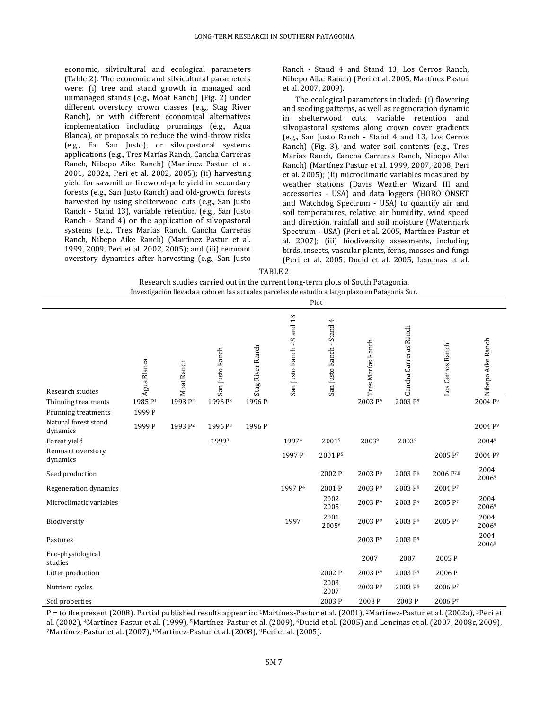economic, silvicultural and ecological parameters (Table 2). The economic and silvicultural parameters were: (i) tree and stand growth in managed and unmanaged stands (e.g., Moat Ranch) (Fig. 2) under different overstory crown classes (e.g., Stag River Ranch), or with different economical alternatives implementation including prunnings (e.g., Agua Blanca), or proposals to reduce the wind-throw risks (e.g., Ea. San Justo), or silvopastoral systems applications (e.g., Tres Marías Ranch, Cancha Carreras Ranch, Nibepo Aike Ranch) (Martínez Pastur et al. 2001, 2002a, Peri et al. 2002, 2005); (ii) harvesting yield for sawmill or firewood-pole yield in secondary forests (e.g., San Justo Ranch) and old-growth forests harvested by using shelterwood cuts (e.g., San Justo Ranch - Stand 13), variable retention (e.g., San Justo Ranch - Stand 4) or the application of silvopastoral systems (e.g., Tres Marías Ranch, Cancha Carreras Ranch, Nibepo Aike Ranch) (Martínez Pastur et al. 1999, 2009, Peri et al. 2002, 2005); and (iii) remnant overstory dynamics after harvesting (e.g., San Justo

Ranch - Stand 4 and Stand 13, Los Cerros Ranch, Nibepo Aike Ranch) (Peri et al. 2005, Martínez Pastur et al. 2007, 2009).

The ecological parameters included: (i) flowering and seeding patterns, as well as regeneration dynamic in shelterwood cuts, variable retention and silvopastoral systems along crown cover gradients (e.g., San Justo Ranch - Stand 4 and 13, Los Cerros Ranch) (Fig. 3), and water soil contents (e.g., Tres Marías Ranch, Cancha Carreras Ranch, Nibepo Aike Ranch) (Martínez Pastur et al. 1999, 2007, 2008, Peri et al. 2005); (ii) microclimatic variables measured by weather stations (Davis Weather Wizard III and accessories - USA) and data loggers (HOBO ONSET and Watchdog Spectrum - USA) to quantify air and soil temperatures, relative air humidity, wind speed and direction, rainfall and soil moisture (Watermark Spectrum - USA) (Peri et al. 2005, Martínez Pastur et al. 2007); (iii) biodiversity assesments, including birds, insects, vascular plants, ferns, mosses and fungi (Peri et al. 2005, Ducid et al. 2005, Lencinas et al.

TABLE 2

| Research studies carried out in the current long-term plots of South Patagonia.                  |  |
|--------------------------------------------------------------------------------------------------|--|
| Investigación llevada a cabo en las actuales parcelas de estudio a largo plazo en Patagonia Sur. |  |

|                                                         |                  |                     |                     |                  |                            | Plot                      |                     |                       |                  |                     |
|---------------------------------------------------------|------------------|---------------------|---------------------|------------------|----------------------------|---------------------------|---------------------|-----------------------|------------------|---------------------|
| Research studies                                        | Agua Blanca      | Moat Ranch          | San Justo Ranch     | Stag River Ranch | San Justo Ranch - Stand 13 | San Justo Ranch - Stand 4 | Tres Marías Ranch   | Cancha Carreras Ranch | Los Cerros Ranch | Nibepo Aike Ranch   |
| Thinning treatments                                     | 1985 P1          | 1993 P <sup>2</sup> | 1996 P <sup>3</sup> | 1996 P           |                            |                           | 2003 P9             | 2003 P <sup>9</sup>   |                  | 2004 P <sup>9</sup> |
| Prunning treatments<br>Natural forest stand<br>dynamics | 1999 P<br>1999 P | 1993 P <sub>2</sub> | 1996 P <sup>3</sup> | 1996 P           |                            |                           |                     |                       |                  | 2004 P9             |
| Forest yield                                            |                  |                     | 19993               |                  | 19974                      | 20015                     | 20039               | 20039                 |                  | 20049               |
| Remnant overstory<br>dynamics                           |                  |                     |                     |                  | 1997 P                     | 2001 P5                   |                     |                       | 2005 P7          | 2004 P <sup>9</sup> |
| Seed production                                         |                  |                     |                     |                  |                            | 2002 P                    | 2003 P <sup>9</sup> | 2003 P <sup>9</sup>   | 2006 P7,8        | 2004<br>20069       |
| Regeneration dynamics                                   |                  |                     |                     |                  | 1997 P <sup>4</sup>        | 2001P                     | 2003 P <sup>9</sup> | 2003 P <sup>9</sup>   | 2004 P7          |                     |
| Microclimatic variables                                 |                  |                     |                     |                  |                            | 2002<br>2005              | 2003 P9             | 2003 P9               | 2005 P7          | 2004<br>20069       |
| Biodiversity                                            |                  |                     |                     |                  | 1997                       | 2001<br>20056             | 2003 P9             | 2003 P9               | 2005 P7          | 2004<br>20069       |
| Pastures                                                |                  |                     |                     |                  |                            |                           | 2003 P <sup>9</sup> | 2003 P <sup>9</sup>   |                  | 2004<br>20069       |
| Eco-physiological<br>studies                            |                  |                     |                     |                  |                            |                           | 2007                | 2007                  | 2005 P           |                     |
| Litter production                                       |                  |                     |                     |                  |                            | 2002 P                    | 2003 P <sup>9</sup> | 2003 P <sup>9</sup>   | 2006 P           |                     |
| Nutrient cycles                                         |                  |                     |                     |                  |                            | 2003<br>2007              | 2003 P9             | 2003 P9               | 2006 P7          |                     |
| Soil properties                                         |                  |                     |                     |                  |                            | 2003 P                    | 2003 P              | 2003 P                | 2006 P7          |                     |

P = to the present (2008). Partial published results appear in: <sup>1</sup>Martínez-Pastur et al. (2001), <sup>2</sup>Martínez-Pastur et al. (2002a), <sup>3</sup>Peri et al. (2002), 4Martínez-Pastur et al. (1999), 5Martínez-Pastur et al. (2009), 6Ducid et al. (2005) and Lencinas et al. (2007, 2008c, 2009), 7Martínez-Pastur et al. (2007), 8Martínez-Pastur et al. (2008), 9Peri et al. (2005).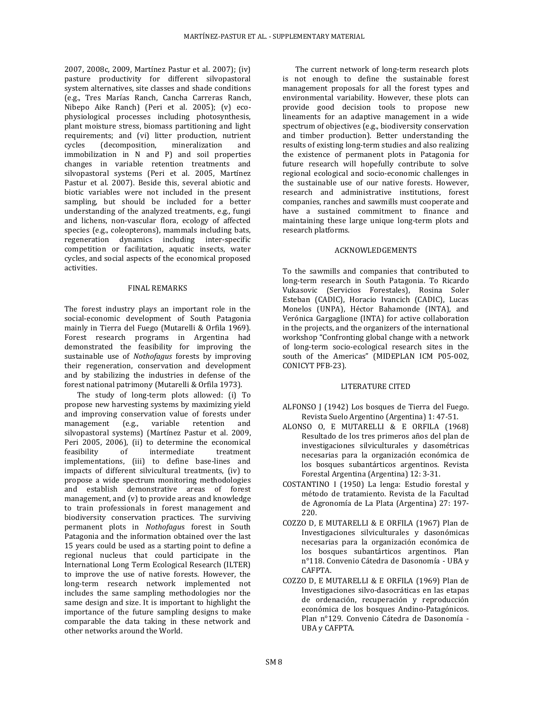2007, 2008c, 2009, Martínez Pastur et al. 2007); (iv) pasture productivity for different silvopastoral system alternatives, site classes and shade conditions (e.g., Tres Marías Ranch, Cancha Carreras Ranch, Nibepo Aike Ranch) (Peri et al. 2005); (v) ecophysiological processes including photosynthesis, plant moisture stress, biomass partitioning and light requirements; and (vi) litter production, nutrient cycles (decomposition, mineralization and (decomposition, mineralization and immobilization in N and P) and soil properties changes in variable retention treatments and silvopastoral systems (Peri et al. 2005, Martínez Pastur et al. 2007). Beside this, several abiotic and biotic variables were not included in the present sampling, but should be included for a better understanding of the analyzed treatments, e.g., fungi and lichens, non-vascular flora, ecology of affected species (e.g., coleopterons), mammals including bats, regeneration dynamics including inter-specific competition or facilitation, aquatic insects, water cycles, and social aspects of the economical proposed activities.

### FINAL REMARKS

The forest industry plays an important role in the social-economic development of South Patagonia mainly in Tierra del Fuego (Mutarelli & Orfila 1969). Forest research programs in Argentina had demonstrated the feasibility for improving the sustainable use of *Nothofagus* forests by improving their regeneration, conservation and development and by stabilizing the industries in defense of the forest national patrimony (Mutarelli & Orfila 1973).

The study of long-term plots allowed: (i) To propose new harvesting systems by maximizing yield and improving conservation value of forests under<br>management (e.g., variable retention and management (e.g., variable retention and silvopastoral systems) (Martínez Pastur et al. 2009, Peri 2005, 2006), (ii) to determine the economical feasibility of intermediate treatment implementations, (iii) to define base-lines and impacts of different silvicultural treatments, (iv) to propose a wide spectrum monitoring methodologies and establish demonstrative areas of forest management, and (v) to provide areas and knowledge to train professionals in forest management and biodiversity conservation practices. The surviving permanent plots in *Nothofagu*s forest in South Patagonia and the information obtained over the last 15 years could be used as a starting point to define a regional nucleus that could participate in the International Long Term Ecological Research (ILTER) to improve the use of native forests. However, the long-term research network implemented not includes the same sampling methodologies nor the same design and size. It is important to highlight the importance of the future sampling designs to make comparable the data taking in these network and other networks around the World.

The current network of long-term research plots is not enough to define the sustainable forest management proposals for all the forest types and environmental variability. However, these plots can provide good decision tools to propose new lineaments for an adaptive management in a wide spectrum of objectives (e.g., biodiversity conservation and timber production). Better understanding the results of existing long-term studies and also realizing the existence of permanent plots in Patagonia for future research will hopefully contribute to solve regional ecological and socio-economic challenges in the sustainable use of our native forests. However, research and administrative institutions, forest companies, ranches and sawmills must cooperate and have a sustained commitment to finance and maintaining these large unique long-term plots and research platforms.

### ACKNOWLEDGEMENTS

To the sawmills and companies that contributed to long-term research in South Patagonia. To Ricardo Vukasovic (Servicios Forestales), Rosina Soler Esteban (CADIC), Horacio Ivancich (CADIC), Lucas Monelos (UNPA), Héctor Bahamonde (INTA), and Verónica Gargaglione (INTA) for active collaboration in the projects, and the organizers of the international workshop "Confronting global change with a network of long-term socio-ecological research sites in the south of the Americas" (MIDEPLAN ICM P05-002, CONICYT PFB-23).

### LITERATURE CITED

- ALFONSO J (1942) Los bosques de Tierra del Fuego. Revista Suelo Argentino (Argentina) 1: 47-51.
- ALONSO O, E MUTARELLI & E ORFILA (1968) Resultado de los tres primeros años del plan de investigaciones silviculturales y dasométricas necesarias para la organización económica de los bosques subantárticos argentinos. Revista Forestal Argentina (Argentina) 12: 3-31.
- COSTANTINO I (1950) La lenga: Estudio forestal y método de tratamiento. Revista de la Facultad de Agronomía de La Plata (Argentina) 27: 197- 220.
- COZZO D, E MUTARELLI & E ORFILA (1967) Plan de Investigaciones silviculturales y dasonómicas necesarias para la organización económica de los bosques subantárticos argentinos. Plan n°118. Convenio Cátedra de Dasonomía - UBA y CAFPTA.
- COZZO D, E MUTARELLI & E ORFILA (1969) Plan de Investigaciones silvo-dasocráticas en las etapas de ordenación, recuperación y reproducción económica de los bosques Andino-Patagónicos. Plan n°129. Convenio Cátedra de Dasonomía - UBA y CAFPTA.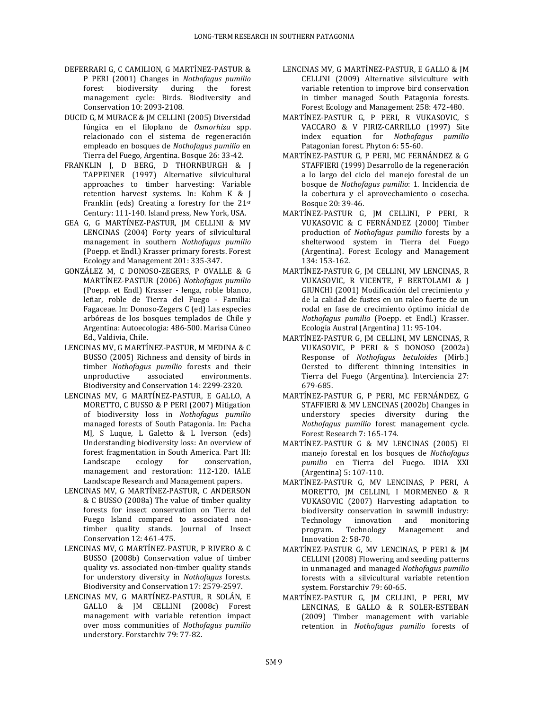- DEFERRARI G, C CAMILION, G MARTÍNEZ-PASTUR & P PERI (2001) Changes in *Nothofagus pumilio*  $\delta$  biodiversity management cycle: Birds. Biodiversity and Conservation 10: 2093-2108.
- DUCID G, M MURACE & JM CELLINI (2005) Diversidad fúngica en el filoplano de *Osmorhiza* spp. relacionado con el sistema de regeneración empleado en bosques de *Nothofagus pumilio* en Tierra del Fuego, Argentina. Bosque 26: 33-42.
- FRANKLIN J, D BERG, D THORNBURGH & J TAPPEINER (1997) Alternative silvicultural approaches to timber harvesting: Variable retention harvest systems. In: Kohm K & J Franklin (eds) Creating a forestry for the 21st Century: 111-140. Island press, New York, USA.
- GEA G, G MARTÍNEZ-PASTUR, JM CELLINI & MV LENCINAS (2004) Forty years of silvicultural management in southern *Nothofagus pumilio* (Poepp. et Endl.) Krasser primary forests. Forest Ecology and Management 201: 335-347.
- GONZÁLEZ M, C DONOSO-ZEGERS, P OVALLE & G MARTÍNEZ-PASTUR (2006) *Nothofagus pumilio* (Poepp. et Endl) Krasser - lenga, roble blanco, leñar, roble de Tierra del Fuego - Familia: Fagaceae. In: Donoso-Zegers C (ed) Las especies arbóreas de los bosques templados de Chile y Argentina: Autoecología: 486-500. Marisa Cúneo Ed., Valdivia, Chile.
- LENCINAS MV, G MARTÍNEZ-PASTUR, M MEDINA & C BUSSO (2005) Richness and density of birds in timber *Nothofagus pumilio* forests and their unproductive associated environments. Biodiversity and Conservation 14: 2299-2320.
- LENCINAS MV, G MARTÍNEZ-PASTUR, E GALLO, A MORETTO, C BUSSO & P PERI (2007) Mitigation of biodiversity loss in *Nothofagus pumilio* managed forests of South Patagonia. In: Pacha MJ, S Luque, L Galetto & L Iverson (eds) Understanding biodiversity loss: An overview of forest fragmentation in South America. Part III: Landscape ecology for conservation, management and restoration: 112-120. IALE Landscape Research and Management papers.
- LENCINAS MV, G MARTÍNEZ-PASTUR, C ANDERSON & C BUSSO (2008a) The value of timber quality forests for insect conservation on Tierra del Fuego Island compared to associated nontimber quality stands. Journal of Insect Conservation 12: 461-475.
- LENCINAS MV, G MARTÍNEZ-PASTUR, P RIVERO & C BUSSO (2008b) Conservation value of timber quality vs. associated non-timber quality stands for understory diversity in *Nothofagus* forests. Biodiversity and Conservation 17: 2579-2597.
- LENCINAS MV, G MARTÍNEZ-PASTUR, R SOLÁN, E GALLO & JM CELLINI (2008c) Forest management with variable retention impact over moss communities of *Nothofagus pumilio* understory. Forstarchiv 79: 77-82.
- LENCINAS MV, G MARTÍNEZ-PASTUR, E GALLO & JM CELLINI (2009) Alternative silviculture with variable retention to improve bird conservation in timber managed South Patagonia forests. Forest Ecology and Management 258: 472-480.
- MARTÍNEZ-PASTUR G, P PERI, R VUKASOVIC, S VACCARO & V PIRIZ-CARRILLO (1997) Site index equation for *Nothofagus pumilio* Patagonian forest. Phyton 6: 55-60.
- MARTÍNEZ-PASTUR G, P PERI, MC FERNÁNDEZ & G STAFFIERI (1999) Desarrollo de la regeneración a lo largo del ciclo del manejo forestal de un bosque de *Nothofagus pumilio*: 1. Incidencia de la cobertura y el aprovechamiento o cosecha. Bosque 20: 39-46.
- MARTÍNEZ-PASTUR G, JM CELLINI, P PERI, R VUKASOVIC & C FERNÁNDEZ (2000) Timber production of *Nothofagus pumilio* forests by a shelterwood system in Tierra del Fuego (Argentina). Forest Ecology and Management 134: 153-162.
- MARTÍNEZ-PASTUR G, JM CELLINI, MV LENCINAS, R VUKASOVIC, R VICENTE, F BERTOLAMI & J GIUNCHI (2001) Modificación del crecimiento y de la calidad de fustes en un raleo fuerte de un rodal en fase de crecimiento óptimo inicial de *Nothofagus pumilio* (Poepp. et Endl.) Krasser. Ecología Austral (Argentina) 11: 95-104.
- MARTÍNEZ-PASTUR G, JM CELLINI, MV LENCINAS, R VUKASOVIC, P PERI & S DONOSO (2002a) Response of *Nothofagus betuloides* (Mirb.) Oersted to different thinning intensities in Tierra del Fuego (Argentina). Interciencia 27: 679-685.
- MARTÍNEZ-PASTUR G, P PERI, MC FERNÁNDEZ, G STAFFIERI & MV LENCINAS (2002b) Changes in understory species diversity during the *Nothofagus pumilio* forest management cycle. Forest Research 7: 165-174.
- MARTÍNEZ-PASTUR G & MV LENCINAS (2005) El manejo forestal en los bosques de *Nothofagus pumilio* en Tierra del Fuego. IDIA XXI (Argentina) 5: 107-110.
- MARTÍNEZ-PASTUR G, MV LENCINAS, P PERI, A MORETTO, JM CELLINI, I MORMENEO & R VUKASOVIC (2007) Harvesting adaptation to biodiversity conservation in sawmill industry: Technology innovation and monitoring program. Technology Management and Innovation 2: 58-70.
- MARTÍNEZ-PASTUR G, MV LENCINAS, P PERI & JM CELLINI (2008) Flowering and seeding patterns in unmanaged and managed *Nothofagus pumilio* forests with a silvicultural variable retention system. Forstarchiv 79: 60-65.
- MARTÍNEZ-PASTUR G, JM CELLINI, P PERI, MV LENCINAS, E GALLO & R SOLER-ESTEBAN (2009) Timber management with variable retention in *Nothofagus pumilio* forests of